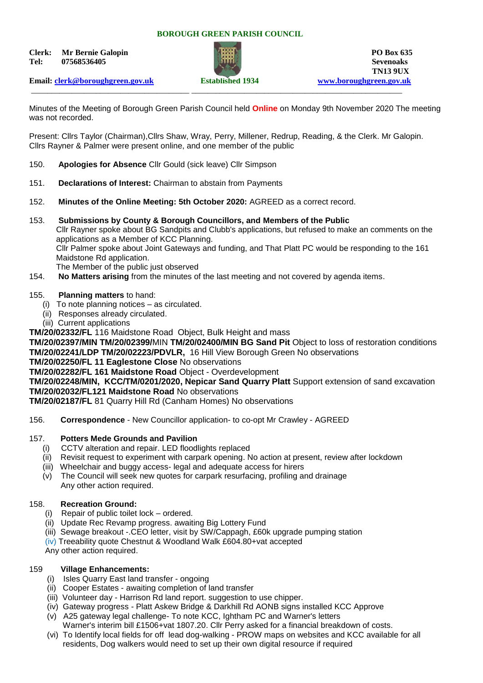#### **BOROUGH GREEN PARISH COUNCIL**

**Clerk:** Mr Bernie Galopin **PO Box 635 Tel: 07568536405 Sevenoaks**



\_\_\_\_\_\_\_\_\_\_\_\_\_\_\_\_\_\_\_\_\_\_\_\_\_\_\_\_\_\_\_\_\_\_\_\_\_\_\_ \_\_\_\_\_\_\_\_\_\_\_\_\_\_\_\_\_\_\_\_\_\_\_\_\_\_\_\_\_\_\_\_\_\_\_\_\_\_\_\_\_\_\_\_\_\_\_\_\_\_\_\_

**TN13 9UX** 

**Email: [clerk@boroughgreen.gov.uk](mailto:clerk@boroughgreen.gov.uk) Established 1934 [www.boroughgreen.gov.uk](http://www.boroughgreen.gov.uk/)**

Minutes of the Meeting of Borough Green Parish Council held **Online** on Monday 9th November 2020 The meeting was not recorded.

Present: Cllrs Taylor (Chairman),Cllrs Shaw, Wray, Perry, Millener, Redrup, Reading, & the Clerk. Mr Galopin. Cllrs Rayner & Palmer were present online, and one member of the public

- 150. **Apologies for Absence** Cllr Gould (sick leave) Cllr Simpson
- 151. **Declarations of Interest:** Chairman to abstain from Payments
- 152. **Minutes of the Online Meeting: 5th October 2020:** AGREED as a correct record.
- 153. **Submissions by County & Borough Councillors, and Members of the Public** Cllr Rayner spoke about BG Sandpits and Clubb's applications, but refused to make an comments on the applications as a Member of KCC Planning. Cllr Palmer spoke about Joint Gateways and funding, and That Platt PC would be responding to the 161 Maidstone Rd application. The Member of the public just observed
- 154. **No Matters arising** from the minutes of the last meeting and not covered by agenda items.

#### 155. **Planning matters** to hand:

- (i) To note planning notices as circulated.
- (ii) Responses already circulated.
- (iii) Current applications

**TM/20/02332/FL** 116 Maidstone Road Object, Bulk Height and mass

**TM/20/02397/MIN TM/20/02399/**MIN **TM/20/02400/MIN BG Sand Pit** Object to loss of restoration conditions **TM/20/02241/LDP TM/20/02223/PDVLR,** 16 Hill View Borough Green No observations

#### **TM/20/02250/FL 11 Eaglestone Close** No observations

**TM/20/02282/FL 161 Maidstone Road** Object - Overdevelopment

**TM/20/02248/MIN, KCC/TM/0201/2020, Nepicar Sand Quarry Platt** Support extension of sand excavation **TM/20/02032/FL121 Maidstone Road** No observations

**TM/20/02187/FL** 81 Quarry Hill Rd (Canham Homes) No observations

156. **Correspondence** - New Councillor application- to co-opt Mr Crawley - AGREED

## 157. **Potters Mede Grounds and Pavilion**

- (i) CCTV alteration and repair. LED floodlights replaced
- (ii) Revisit request to experiment with carpark opening. No action at present, review after lockdown
- (iii) Wheelchair and buggy access- legal and adequate access for hirers
- (v) The Council will seek new quotes for carpark resurfacing, profiling and drainage Any other action required.

## 158. **Recreation Ground:**

- (i) Repair of public toilet lock ordered.
- (ii) Update Rec Revamp progress. awaiting Big Lottery Fund
- (iii) Sewage breakout -.CEO letter, visit by SW/Cappagh, £60k upgrade pumping station
- (iv) Treeability quote Chestnut & Woodland Walk £604.80+vat accepted

Any other action required.

## 159 **Village Enhancements:**

- (i) Isles Quarry East land transfer ongoing
- (ii) Cooper Estates awaiting completion of land transfer
- (iii) Volunteer day Harrison Rd land report. suggestion to use chipper.
- (iv) Gateway progress Platt Askew Bridge & Darkhill Rd AONB signs installed KCC Approve
- (v) A25 gateway legal challenge- To note KCC, Ightham PC and Warner's letters Warner's interim bill £1506+vat 1807.20. Cllr Perry asked for a financial breakdown of costs.
- (vi) To Identify local fields for off lead dog-walking PROW maps on websites and KCC available for all residents, Dog walkers would need to set up their own digital resource if required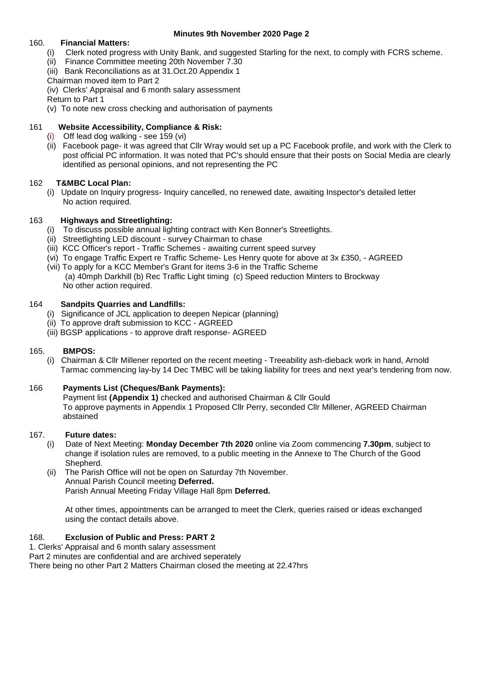# **Minutes 9th November 2020 Page 2**

# 160. **Financial Matters:**

- (i) Clerk noted progress with Unity Bank, and suggested Starling for the next, to comply with FCRS scheme.
- (ii) Finance Committee meeting 20th November 7.30
- (iii) Bank Reconciliations as at 31.Oct.20 Appendix 1
- Chairman moved item to Part 2
- (iv) Clerks' Appraisal and 6 month salary assessment
- Return to Part 1
- (v) To note new cross checking and authorisation of payments

# 161 **Website Accessibility, Compliance & Risk:**

- (i) Off lead dog walking see 159 (vi)
- (ii) Facebook page- it was agreed that Cllr Wray would set up a PC Facebook profile, and work with the Clerk to post official PC information. It was noted that PC's should ensure that their posts on Social Media are clearly identified as personal opinions, and not representing the PC

# 162 **T&MBC Local Plan:**

 (i) Update on Inquiry progress- Inquiry cancelled, no renewed date, awaiting Inspector's detailed letter No action required.

# 163 **Highways and Streetlighting:**

- (i) To discuss possible annual lighting contract with Ken Bonner's Streetlights.
- (ii) Streetlighting LED discount survey Chairman to chase
- (iii) KCC Officer's report Traffic Schemes awaiting current speed survey
- (vi) To engage Traffic Expert re Traffic Scheme- Les Henry quote for above at 3x £350, AGREED
- (vii) To apply for a KCC Member's Grant for items 3-6 in the Traffic Scheme (a) 40mph Darkhill (b) Rec Traffic Light timing (c) Speed reduction Minters to Brockway No other action required.

## 164 **Sandpits Quarries and Landfills:**

- (i) Significance of JCL application to deepen Nepicar (planning)
- (ii) To approve draft submission to KCC AGREED
- (iii) BGSP applications to approve draft response- AGREED

## 165. **BMPOS:**

 (i) Chairman & Cllr Millener reported on the recent meeting - Treeability ash-dieback work in hand, Arnold Tarmac commencing lay-by 14 Dec TMBC will be taking liability for trees and next year's tendering from now.

# 166 **Payments List (Cheques/Bank Payments):**

 Payment list **(Appendix 1)** checked and authorised Chairman & Cllr Gould To approve payments in Appendix 1 Proposed Cllr Perry, seconded Cllr Millener, AGREED Chairman abstained

## 167. **Future dates:**

- (i) Date of Next Meeting: **Monday December 7th 2020** online via Zoom commencing **7.30pm**, subject to change if isolation rules are removed, to a public meeting in the Annexe to The Church of the Good Shepherd.
- (ii) The Parish Office will not be open on Saturday 7th November. Annual Parish Council meeting **Deferred.** Parish Annual Meeting Friday Village Hall 8pm **Deferred.**

 At other times, appointments can be arranged to meet the Clerk, queries raised or ideas exchanged using the contact details above.

## 168. **Exclusion of Public and Press: PART 2**

1. Clerks' Appraisal and 6 month salary assessment

Part 2 minutes are confidential and are archived seperately

There being no other Part 2 Matters Chairman closed the meeting at 22.47hrs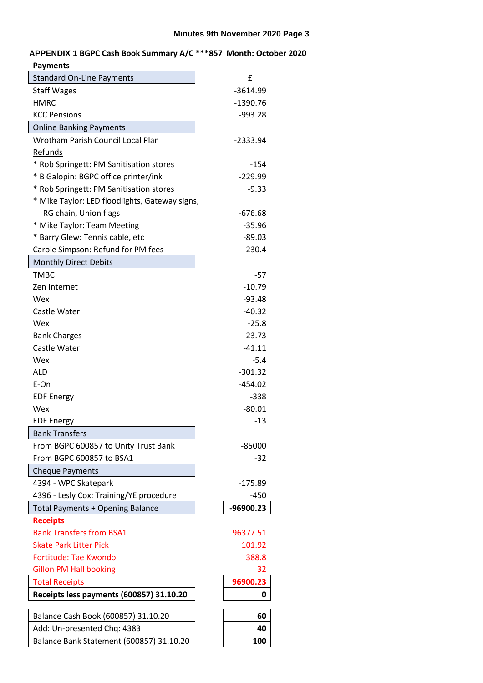# **APPENDIX 1 BGPC Cash Book Summary A/C \*\*\*857 Month: October 2020 Payments**

| <b>Standard On-Line Payments</b>               | £          |
|------------------------------------------------|------------|
| <b>Staff Wages</b>                             | $-3614.99$ |
| <b>HMRC</b>                                    | $-1390.76$ |
| <b>KCC Pensions</b>                            | $-993.28$  |
| <b>Online Banking Payments</b>                 |            |
| Wrotham Parish Council Local Plan              | -2333.94   |
| Refunds                                        |            |
| * Rob Springett: PM Sanitisation stores        | $-154$     |
| * B Galopin: BGPC office printer/ink           | $-229.99$  |
| * Rob Springett: PM Sanitisation stores        | $-9.33$    |
| * Mike Taylor: LED floodlights, Gateway signs, |            |
| RG chain, Union flags                          | $-676.68$  |
| * Mike Taylor: Team Meeting                    | $-35.96$   |
| * Barry Glew: Tennis cable, etc                | $-89.03$   |
| Carole Simpson: Refund for PM fees             | $-230.4$   |
| <b>Monthly Direct Debits</b>                   |            |
| <b>TMBC</b>                                    | $-57$      |
| Zen Internet                                   | $-10.79$   |
| Wex                                            | $-93.48$   |
| Castle Water                                   | $-40.32$   |
| Wex                                            | $-25.8$    |
| <b>Bank Charges</b>                            | $-23.73$   |
| Castle Water                                   | $-41.11$   |
| Wex                                            | $-5.4$     |
| <b>ALD</b>                                     | $-301.32$  |
| E-On                                           | $-454.02$  |
| <b>EDF Energy</b>                              | $-338$     |
| Wex                                            | $-80.01$   |
| <b>EDF Energy</b>                              | $-13$      |
| <b>Bank Transfers</b>                          |            |
| From BGPC 600857 to Unity Trust Bank           | $-85000$   |
| From BGPC 600857 to BSA1                       | -32        |
| <b>Cheque Payments</b>                         |            |
| 4394 - WPC Skatepark                           | $-175.89$  |
| 4396 - Lesly Cox: Training/YE procedure        | -450       |
| <b>Total Payments + Opening Balance</b>        | -96900.23  |
| <b>Receipts</b>                                |            |
| <b>Bank Transfers from BSA1</b>                | 96377.51   |
| <b>Skate Park Litter Pick</b>                  | 101.92     |
| <b>Fortitude: Tae Kwondo</b>                   | 388.8      |
| <b>Gillon PM Hall booking</b>                  | 32         |
| <b>Total Receipts</b>                          | 96900.23   |
| Receipts less payments (600857) 31.10.20       | 0          |
|                                                |            |
| Balance Cash Book (600857) 31.10.20            | 60         |
| Add: Un-presented Chq: 4383                    | 40         |
| Balance Bank Statement (600857) 31.10.20       | 100        |